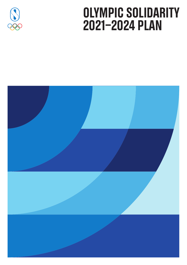

# Olympic Solidarity 2021-2024 Plan

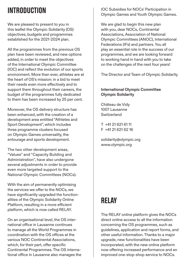# **INTRODUCTION**

We are pleased to present to you in this leaflet the Olympic Solidarity (OS) objectives, budgets and programmes established for the 2021-2024 plan.

All the programmes from the previous OS plan have been reviewed, and new options added, in order to meet the objectives of the International Olympic Committee (IOC) and reflect the evolution of our sports environment. More than ever, athletes are at the heart of OS's mission: in a bid to meet their needs even more effectively and to support them throughout their careers, the budget of the programmes fully dedicated to them has been increased by 25 per cent.

Moreover, the OS delivery structure has been enhanced, with the creation of a development area entitled "Athletes and Sport Development", which includes three programme clusters focused on Olympic Games universality, the entourage and sports development.

The two other development areas, "Values" and "Capacity Building and Administration", have also undergone several adjustments in order to provide even more targeted support to the National Olympic Committees (NOCs).

With the aim of permanently optimising the services we offer to the NOCs, we have significantly upgraded the functionalities of the Olympic Solidarity Online Platform, resulting in a more efficient platform, which is now called RELAY.

On an organisational level, the OS international office in Lausanne continues to manage all the World Programmes in coordination with the OS offices at the various NOC Continental Associations, which, for their part, offer specific Continental Programmes. The OS international office in Lausanne also manages the IOC Subsidies for NOCs' Participation in Olympic Games and Youth Olympic Games.

We are glad to begin this new plan with you, dear NOCs, Continental Associations, Association of National Olympic Committees (ANOC), International Federations (IFs) and partners. You all play an essential role in the success of our programmes, and we are looking forward to working hand in hand with you to take on the challenges of the next four years!

The Director and Team of Olympic Solidarity

#### **International Olympic Committee Olympic Solidarity**

Château de Vidy 1007 Lausanne Switzerland

T +41 21 621 61 11  $F +41$  21 621 62 16

solidarity@olympic.org www.olympic.org

# RELAY

The RELAY online platform gives the NOCs direct online access to all the information concerning the OS programmes, such as guidelines, application and report forms, and other useful information. Thanks to a major upgrade, new functionalities have been incorporated, with the new online platform now offering increased performance and an improved one-stop-shop service to NOCs.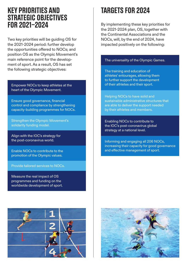### Key Priorities and Strategic Objectives for 2021-2024

Two key priorities will be guiding OS for the 2021-2024 period: further develop the opportunities offered to NOCs; and position OS as the Olympic Movement's main reference point for the development of sport. As a result, OS has set the following strategic objectives:

Empower NOCs to keep athletes at the heart of the Olympic Movement.

Ensure good governance, financial control and compliance by strengthening capacity-building programmes for NOCs.

Strengthen the Olympic Movement's solidarity funding model.

Align with the IOC's strategy for the post-coronavirus world.

Enable NOCs to contribute to the promotion of the Olympic values.

Provide tailored services to NOCs.

Measure the real impact of OS programmes and funding on the worldwide development of sport.

# TARGFTS FOR 2024

By implementing these key priorities for the 2021-2024 plan, OS, together with the Continental Associations and the NOCs, will, by the end of 2024, have impacted positively on the following:

#### The universality of the Olympic Games.

The training and education of athletes' entourages, allowing them to further support the development of their athletes and their sport.

Helping NOCs to have solid and sustainable administrative structures that are able to deliver the support needed by their athletes and members.

Enabling NOCs to contribute to the IOC's post-coronavirus global strategy at a national level.

Informing and engaging all 206 NOCs, increasing their capacity for good governance and effective management of sport.



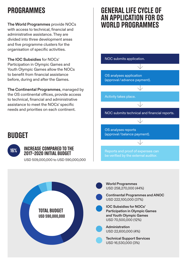# **PROGRAMMES**

**The World Programmes** provide NOCs with access to technical, financial and administrative assistance. They are divided into three development areas and five programme clusters for the organisation of specific activities.

#### **The IOC Subsidies** for NOCs'

Participation in Olympic Games and Youth Olympic Games allow the NOCs to benefit from financial assistance before, during and after the Games.

**The Continental Programmes**, managed by the OS continental offices, provide access to technical, financial and administrative assistance to meet the NOCs' specific needs and priorities on each continent.

### General Life Cycle of an Application for OS WORLD PROGRAMMES

NOC submits application.

OS analyses application (approval / advance payment).

Activity takes place.

NOC submits technical and financial reports.

OS analyses reports (approval / balance payment).

**BUDGET** 



#### increase compared to the 2017-2020 INITIAL BIIDGET

USD 509,000,000 to USD 590,000,000

Reports and proof of expenses can be verified by the external auditor.



**World Programmes**  USD 258,270,000 (44%)

**Continental Programmes and ANOC**  USD 222,100,000 (37%)



**Participation in Olympic Games and Youth Olympic Games**  USD 70,500,000 (12%)

**Administration**  USD 22,600,000 (4%)

**Technical Support Services**  USD 16,530,000 (3%)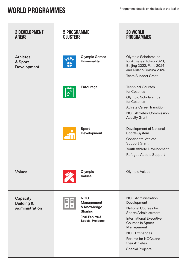# WORLD PROGRAMMES Programme details on the back of the leaflet

| <b>3 DEVELOPMENT</b><br><b>AREAS</b>                | <b>5 PROGRAMME</b><br><b>CLUSTERS</b>                                                             | <b>20 WORLD</b><br><b>PROGRAMMES</b>                                                                                                                                                                                                                                     |
|-----------------------------------------------------|---------------------------------------------------------------------------------------------------|--------------------------------------------------------------------------------------------------------------------------------------------------------------------------------------------------------------------------------------------------------------------------|
| <b>Athletes</b><br>& Sport<br>Development           | <b>Olympic Games</b><br><b>Universality</b>                                                       | <b>Olympic Scholarships</b><br>for Athletes: Tokyo 2020,<br>Beijing 2022, Paris 2024<br>and Milano Cortina 2026<br>Team Support Grant                                                                                                                                    |
|                                                     | Entourage                                                                                         | <b>Technical Courses</b><br>for Coaches<br>Olympic Scholarships<br>for Coaches<br><b>Athlete Career Transition</b><br>NOC Athletes' Commission<br><b>Activity Grant</b>                                                                                                  |
|                                                     | Sport<br>Development                                                                              | Development of National<br>Sports System<br><b>Continental Athlete</b><br><b>Support Grant</b><br>Youth Athlete Development<br>Refugee Athlete Support                                                                                                                   |
| <b>Values</b>                                       | Olympic<br>Values                                                                                 | <b>Olympic Values</b>                                                                                                                                                                                                                                                    |
| Capacity<br><b>Building &amp;</b><br>Administration | <b>NOC</b><br>Management<br>& Knowledge<br>Sharing<br>(incl. Forums &<br><b>Special Projects)</b> | <b>NOC Administration</b><br>Development<br><b>National Courses for</b><br><b>Sports Administrators</b><br><b>International Executive</b><br>Courses in Sports<br>Management<br><b>NOC Exchanges</b><br>Forums for NOCs and<br>their Athletes<br><b>Special Projects</b> |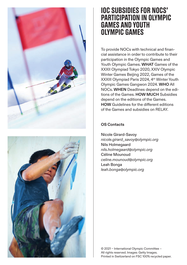



### IOC SUBSIDIES FOR NOCS' PARTICIPATION IN OLYMPIC GAMES AND YOUTH OLYMPIC GAMES

To provide NOCs with technical and financial assistance in order to contribute to their participation in the Olympic Games and Youth Olympic Games. **WHAT** Games of the XXXII Olympiad Tokyo 2020, XXIV Olympic Winter Games Beijing 2022, Games of the XXXIII Olympiad Paris 2024, 4<sup>th</sup> Winter Youth Olympic Games Gangwon 2024. **WHO** All NOCs. **WHEN** Deadlines depend on the editions of the Games. **HOW MUCH** Subsidies depend on the editions of the Games. **HOW** Guidelines for the different editions of the Games and subsidies on RELAY.

#### **OS Contacts**

Nicole Girard-Savoy *nicole.girard\_savoy@olympic.org* Nils Holmegaard *nils.holmegaard@olympic.org* Céline Mounoud *celine.mounoud@olympic.org* Leah Bonga *leah.bonga@olympic.org*

© 2021 – International Olympic Committee – All rights reserved. Images: Getty Images. Printed in Switzerland on FSC 100% recycled paper.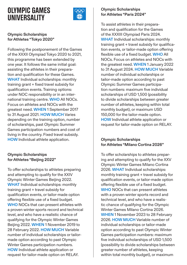## Olympic Games **IINIVERSALITY**



#### **Olympic Scholarships for Athletes "Tokyo 2020"**

Following the postponement of the Games of the XXXII Olympiad Tokyo 2020 to 2021, this programme has been extended by one year. It follows the same initial goal: assisting the athletes in their preparation and qualification for these Games. **WHAT** Individual scholarships: monthly training grant + fixed travel subsidy for qualification events. Training options: under NOC responsibility or in an international training centre. **WHO** All NOCs. Focus on athletes and NOCs with the greatest need. **WHEN** 1 September 2017 to 31 August 2021. **HOW MUCH** Varies depending on the training option, number of scholarships, past Olympic Summer Games participation numbers and cost of living in the country. Fixed travel subsidy. **HOW** Individual athlete application.

#### **Olympic Scholarships for Athletes "Beijing 2022"**

To offer scholarships to athletes preparing and attempting to qualify for the XXIV Olympic Winter Games Beijing 2022. **WHAT** Individual scholarships: monthly training grant + travel subsidy for qualification events, or tailor-made option offering flexible use of a fixed budget. **WHO** NOCs that can present athletes with a proven winter sports record and technical level, and who have a realistic chance of qualifying for the Olympic Winter Games Beijing 2022. **WHEN** 1 November 2019 to 28 February 2022. **HOW MUCH** Variable number of individual scholarships or tailormade option according to past Olympic Winter Games participation numbers. **HOW** Individual athlete application or request for tailor-made option on RELAY.

#### **Olympic Scholarships for Athletes "Paris 2024"**

To assist athletes in their preparation and qualification for the Games of the XXXIII Olympiad Paris 2024. **WHAT** Individual scholarships: monthly training grant + travel subsidy for qualification events, or tailor-made option offering flexible use of a fixed budget. **WHO** All NOCs. Focus on athletes and NOCs with the greatest need. **WHEN** 1 January 2022 to 31 August 2024. **HOW MUCH** Variable number of individual scholarships or tailor-made option according to past Olympic Summer Games participation numbers: maximum five individual scholarships of USD 1,500 (possibility to divide scholarships between greater number of athletes, keeping within total monthly budget), or maximum USD 150,000 for the tailor-made option. **HOW** Individual athlete application or request for tailor-made option on RELAY.

#### **Olympic Scholarships for Athletes "Milano Cortina 2026"**

To offer scholarships to athletes preparing and attempting to qualify for the XXV Olympic Winter Games Milano Cortina 2026. **WHAT** Individual scholarships: monthly training grant + travel subsidy for qualification events, or tailor-made option offering flexible use of a fixed budget. **WHO** NOCs that can present athletes with a proven winter sports record and technical level, and who have a realistic chance of qualifying for the Olympic Winter Games Milano Cortina 2026. **WHEN** 1 November 2023 to 28 February 2026. **HOW MUCH** Variable number of individual scholarships or tailor-made option according to past Olympic Winter Games participation numbers: maximum five individual scholarships of USD 1,500 (possibility to divide scholarships between greater number of athletes, keeping within total monthly budget), or maximum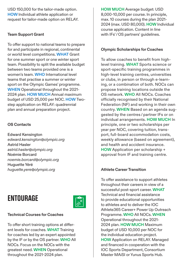USD 150,000 for the tailor-made option. **HOW** Individual athlete application or request for tailor-made option on RELAY.

#### **Team Support Grant**

To offer support to national teams to prepare for and participate in regional, continental or world level competitions. **WHAT** Grant for one summer sport or one winter sport team. Possibility to split the available budget between two teams provided one is a women's team. **WHO** International level teams that practise a summer or winter sport on the Olympic Games' programme. **WHEN** Operational throughout the 2021- 2024 plan. **HOW MUCH** Annual maximum budget of USD 25,000 per NOC. **HOW** Twostep application on RELAY: quadrennial plan and annual preparation project.

#### **OS Contacts**

Edward Kensington *edward.kensington@olympic.org* Astrid Hasler *astrid.hasler@olympic.org* Noémie Borcard *noemie.borcard@olympic.org* Huguette Yéré *huguette.yere@olympic.org*

# **ENTOURAGE**



#### **Technical Courses for Coaches**

To offer short training options at different levels for coaches. **WHAT** Training for coaches led by an expert appointed by the IF or by the OS partner. **WHO** All NOCs. Focus on the NOCs with the greatest need. **WHEN** Operational throughout the 2021-2024 plan.

**HOW MUCH** Average budget: USD 8,000-10,000 per course. In principle, max. 10 courses during the plan 2021- 2024 (max. USD 80,000). **HOW** Individual course application. Content in line with IFs'/OS partners' quidelines.

#### **Olympic Scholarships for Coaches**

To allow coaches to benefit from highlevel training. **WHAT** Sports science or sport-specific training programmes in high-level training centres, universities or clubs, in person or through e-learning, or a combination of both. NOCs can propose training locations outside the OS network. **WHO** All NOCs. Coaches officially recognised by their National Federation (NF) and working in their own country. **WHEN** Based on an agenda suggested by the centres / partner IFs or on individual arrangements. **HOW MUCH** In principle, one or two scholarships per year per NOC, covering tuition, transport, full-board accommodation costs, weekly allowance (based on agreement), and health and accident insurance. **HOW** Application per scholarship + approval from IF and training centre.

#### **Athlete Career Transition**

To offer assistance to support athletes throughout their careers in view of a successful post-sport career. **WHAT**  Technical and financial assistance to provide educational opportunities to athletes and to deliver the IOC Athlete365 Career+ Power Up Outreach Programme. **WHO** All NOCs. **WHEN**  Operational throughout the 2021- 2024 plan. **HOW MUCH** Maximum budget of USD 10,000 per NOC for the individual education project. **HOW** Application on RELAY. Managed and financed in cooperation with the IOC Sports Department, Consortium Master MAiSI or Yunus Sports Hub.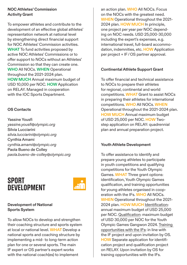#### **NOC Athletes' Commission Activity Grant**

To empower athletes and contribute to the development of an effective global athletes' representation network at national level by strengthening direct financial support for NOC Athletes' Commission activities. **WHAT** To fund activities proposed by active NOC Athletes' Commissions or to offer support to NOCs without an Athletes' Commission so that they can create one. **WHO** All NOCs. **WHEN** Operational throughout the 2021-2024 plan. **HOW MUCH** Annual maximum budget of USD 10,000 per NOC. **HOW** Application on RELAY. Managed in cooperation with the IOC Sports Department.

#### **OS Contacts**

Yassine Yousfi *yassine.yousfi@olympic.org* Silvia Lucciarini *silvia.lucciarini@olympic.org* Cynthia Amami *cynthia.amami@olympic.org* Paola Bueno de Colley *paola.bueno-de-colley@olympic.org*

## **SPORT DEVELOPMENT**



#### **Development of National Sports System**

To allow NOCs to develop and strengthen their coaching structure and sports system at local or national level. **WHAT** Develop a national sports and coaching structure by implementing a mid- to long-term action plan for one or several sports. The main IF expert or OS partner's expert works with the national coach(es) to implement

an action plan. **WHO** All NOCs. Focus on the NOCs with the greatest need. **WHEN** Operational throughout the 2021- 2024 plan. **HOW MUCH** In principle, one project per year per NOC depending on NOC needs. USD 25,000-30,000 including the expert's expenses, e.g. international travel, full-board accommodation, indemnities, etc. **HOW** Application per project + IF / OS partner approval.

#### **Continental Athlete Support Grant**

To offer financial and technical assistance to NOCs to prepare their athletes for regional, continental and world competitions. **WHAT** Grant to assist NOCs in preparing their athletes for international competitions. **WHO** All NOCs. **WHEN**  Operational throughout the 2021-2024 plan. **HOW MUCH** Annual maximum budget of USD 25,000 per NOC. **HOW** Twostep application on RELAY: quadrennial plan and annual preparation project.

#### **Youth Athlete Development**

To offer assistance to identify and prepare young athletes to participate in youth competitions and qualifying competitions for the Youth Olympic Games. **WHAT** Three grant options: identification, Youth Olympic Games qualification, and training opportunities for young athletes organised in cooperation with the IFs. **WHO** All NOCs. **WHEN** Operational throughout the 2021- 2024 plan. **HOW MUCH** Identification: annual maximum budget of USD 25,000 per NOC. Qualification: maximum budget of USD 30,000 per NOC for the Youth Olympic Games Gangwon 2024. Training opportunities with the IFs: in line with the IF project and upon invitation by OS. **HOW** Separate application for identification project and qualification project on RELAY. Upon invitation by OS for training opportunities with the IFs.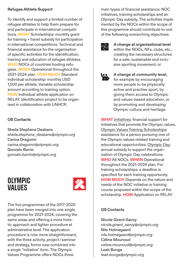#### **Refugee Athlete Support**

To identify and support a limited number of refugee athletes to help them prepare for and participate in international competitions. **WHAT** Scholarships: monthly grant for training + travel subsidy for participation in international competitions. Technical and financial assistance for the organisation of specific activities for the identification, training and education of refugee athletes. **WHO** NOCs of countries hosting refugees. **WHEN** Operational throughout the 2021-2024 plan. **HOW MUCH** Standard individual scholarship: monthly USD 1,500 per athlete. Variable scholarship amount according to training option. **HOW** Individual athlete application on RELAY. Identification project to be organised in collaboration with UNHCR.

#### **OS Contacts**

Sheila Stephens Desbans *sheila.stephens\_desbans@olympic.org* Carina Dragomir *carina.dragomir@olympic.org* Gonzalo Barrio *gonzalo.barrio@olympic.org*

### Olympic **VALUES**



The five programmes of the 2017-2020 plan have been merged into one single programme for 2021-2024, covering the same areas and offering a more holistic approach and lighter procedure at administrative level. The application procedure is now more straightforward, with the three activity, project / seminar and strategy, forms now combined into a single "initiative" form. The Olympic Values Programme offers NOCs three

main types of financial assistance: NOC initiatives, training scholarships and an Olympic Day subsidy. The activities implemented by the NOCs within the scope of this programme should contribute to one of the following overarching objectives:



**A change at organisational level** within the NOCs, NFs, clubs, etc., creating the necessary structures for a safe, sustainable and inclusive sporting movement; or



**A change at community level**, for example by encouraging more people to be physically active and practise sport, by giving them access to Olympic and values-based education, or by promoting and developing Olympic culture and heritage.

**WHAT** Initiatives: financial support for initiatives that promote the Olympic values. Olympic Values Training Scholarships: assistance for a person pursuing one of the Olympic values-related training and educational opportunities. Olympic Day: annual subsidy to support the organisation of Olympic Day celebrations. **WHO** All NOCs. **WHEN** Operational throughout the 2021-2024 plan. For training scholarships: a deadline is specified for each training opportunity. **HOW MUCH** Depends on the nature and needs of the NOC initiative or training course proposed within the scope of the scholarship. **HOW** Application on RELAY.

#### **OS Contacts**

Nicole Girard-Savoy *nicole.girard\_savoy@olympic.org* Nils Holmegaard *nils.holmegaard@olympic.org* Céline Mounoud *celine.mounoud@olympic.org* Leah Bonga *leah.bonga@olympic.org*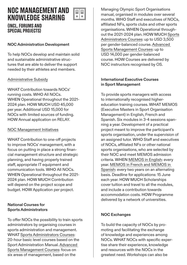# NOC Management and Knowledge Sharing



#### (incl. Forums and SPECIAL PROJECTS)

#### **NOC Administration Development**

To help NOCs develop and maintain solid and sustainable administrative structures that are able to deliver the support needed by their athletes and members.

#### Administrative Subsidy

**WHAT** Contribution towards NOCs' running costs. **WHO** All NOCs. **WHEN** Operational throughout the 2021- 2024 plan. **HOW MUCH** USD 45,000 per year. Additional USD 15,000 for NOCs with limited sources of funding. **HOW** Annual application on RELAY.

#### NOC Management Initiatives

**WHAT** Contribution to one-off projects to improve NOCs' management, with a focus on putting in place a strong financial management structure and strategic planning, and having properly trained staff, appropriate IT equipment and communication tools. **WHO** All NOCs. **WHEN** Operational throughout the 2021- 2024 plan. **HOW MUCH** Contribution will depend on the project scope and budget. **HOW** Application per project.

#### **National Courses for Sports Administrators**

To offer NOCs the possibility to train sports administrators by organising courses in sports administration and management. **WHAT** Sports Administrators Courses: 20-hour basic level courses based on the Sport Administration Manual. Advanced Sports Management Courses: focus on six areas of management, based on the

Managing Olympic Sport Organisations manual, organised in modules over several months. **WHO** Staff and executives of NOCs, affiliated NFs, sports clubs and other sports organisations. **WHEN** Operational throughout the 2021-2024 plan. **HOW MUCH** Sports Administrators Courses: up to USD 3,500 per gender-balanced course. Advanced Sports Management Courses: up to USD 14,000 per gender-balanced course. **HOW** Courses are delivered by NOC instructors recognised by OS.

#### **International Executive Courses in Sport Management**

To provide sports managers with access to internationally recognised highereducation training courses. **WHAT** MEMOS (Executive Masters in Sport Organisation Management) in English, French and Spanish. Six modules in 3-4 sessions spanning a year. Development of a practical project meant to improve the participant's sports organisation, under the supervision of an assigned tutor. **WHO** Staff and executives of NOCs, affiliated NFs or other national sports organisations, who are selected by their NOC and meet MEMOS admission criteria. **WHEN** MEMOS in English: every year. MEMOS in French and MEMOS in Spanish: every two years on an alternating basis. Deadline for applications: 15 June each year. **HOW MUCH** Scholarships cover tuition and travel to all the modules, and include a contribution towards accommodation costs. **HOW** Programme delivered by a network of universities.

#### **NOC Exchanges**

To build the capacity of NOCs by promoting and facilitating the exchange of knowledge and experiences among NOCs. **WHAT** NOCs with specific expertise share their experience, knowledge and resources with the NOCs in the greatest need. Workshops can also be